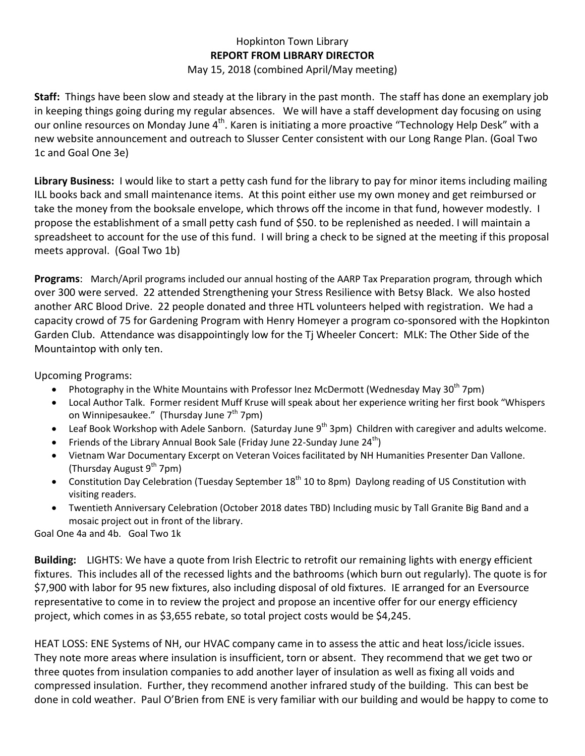## Hopkinton Town Library **REPORT FROM LIBRARY DIRECTOR**

## May 15, 2018 (combined April/May meeting)

**Staff:** Things have been slow and steady at the library in the past month. The staff has done an exemplary job in keeping things going during my regular absences. We will have a staff development day focusing on using our online resources on Monday June  $4<sup>th</sup>$ . Karen is initiating a more proactive "Technology Help Desk" with a new website announcement and outreach to Slusser Center consistent with our Long Range Plan. (Goal Two 1c and Goal One 3e)

**Library Business:** I would like to start a petty cash fund for the library to pay for minor items including mailing ILL books back and small maintenance items. At this point either use my own money and get reimbursed or take the money from the booksale envelope, which throws off the income in that fund, however modestly. I propose the establishment of a small petty cash fund of \$50. to be replenished as needed. I will maintain a spreadsheet to account for the use of this fund. I will bring a check to be signed at the meeting if this proposal meets approval. (Goal Two 1b)

**Programs**: March/April programs included our annual hosting of the AARP Tax Preparation program*,* through which over 300 were served. 22 attended Strengthening your Stress Resilience with Betsy Black. We also hosted another ARC Blood Drive. 22 people donated and three HTL volunteers helped with registration. We had a capacity crowd of 75 for Gardening Program with Henry Homeyer a program co-sponsored with the Hopkinton Garden Club. Attendance was disappointingly low for the Tj Wheeler Concert: MLK: The Other Side of the Mountaintop with only ten.

Upcoming Programs:

- Photography in the White Mountains with Professor Inez McDermott (Wednesday May  $30<sup>th</sup>$  7pm)
- Local Author Talk. Former resident Muff Kruse will speak about her experience writing her first book "Whispers on Winnipesaukee." (Thursday June  $7<sup>th</sup>$  7pm)
- Leaf Book Workshop with Adele Sanborn. (Saturday June  $9<sup>th</sup>$  3pm) Children with caregiver and adults welcome.
- Friends of the Library Annual Book Sale (Friday June 22-Sunday June  $24<sup>th</sup>$ )
- Vietnam War Documentary Excerpt on Veteran Voices facilitated by NH Humanities Presenter Dan Vallone. (Thursday August  $9^{th}$  7pm)
- Constitution Day Celebration (Tuesday September 18<sup>th</sup> 10 to 8pm) Daylong reading of US Constitution with visiting readers.
- Twentieth Anniversary Celebration (October 2018 dates TBD) Including music by Tall Granite Big Band and a mosaic project out in front of the library.

Goal One 4a and 4b. Goal Two 1k

**Building:** LIGHTS: We have a quote from Irish Electric to retrofit our remaining lights with energy efficient fixtures. This includes all of the recessed lights and the bathrooms (which burn out regularly). The quote is for \$7,900 with labor for 95 new fixtures, also including disposal of old fixtures. IE arranged for an Eversource representative to come in to review the project and propose an incentive offer for our energy efficiency project, which comes in as \$3,655 rebate, so total project costs would be \$4,245.

HEAT LOSS: ENE Systems of NH, our HVAC company came in to assess the attic and heat loss/icicle issues. They note more areas where insulation is insufficient, torn or absent. They recommend that we get two or three quotes from insulation companies to add another layer of insulation as well as fixing all voids and compressed insulation. Further, they recommend another infrared study of the building. This can best be done in cold weather. Paul O'Brien from ENE is very familiar with our building and would be happy to come to